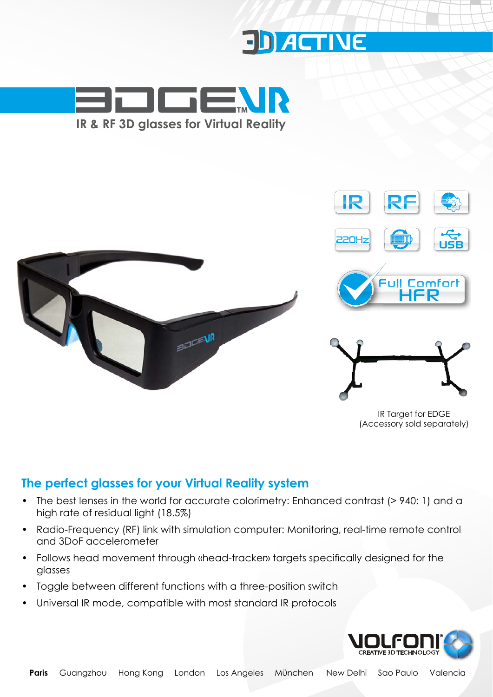





IR Target for EDGE (Accessory sold separately)

#### **The perfect glasses for your Virtual Reality system**

- The best lenses in the world for accurate colorimetry: Enhanced contrast (> 940: 1) and a high rate of residual light (18.5%)
- Radio-Frequency (RF) link with simulation computer: Monitoring, real-time remote control and 3DoF accelerometer
- $\bullet$ ollows head movement through «head-tracken» targets specifically designed for the glasses
- Toggle between different functions with a three-position switch
- Universal IR mode, compatible with most standard IR protocols